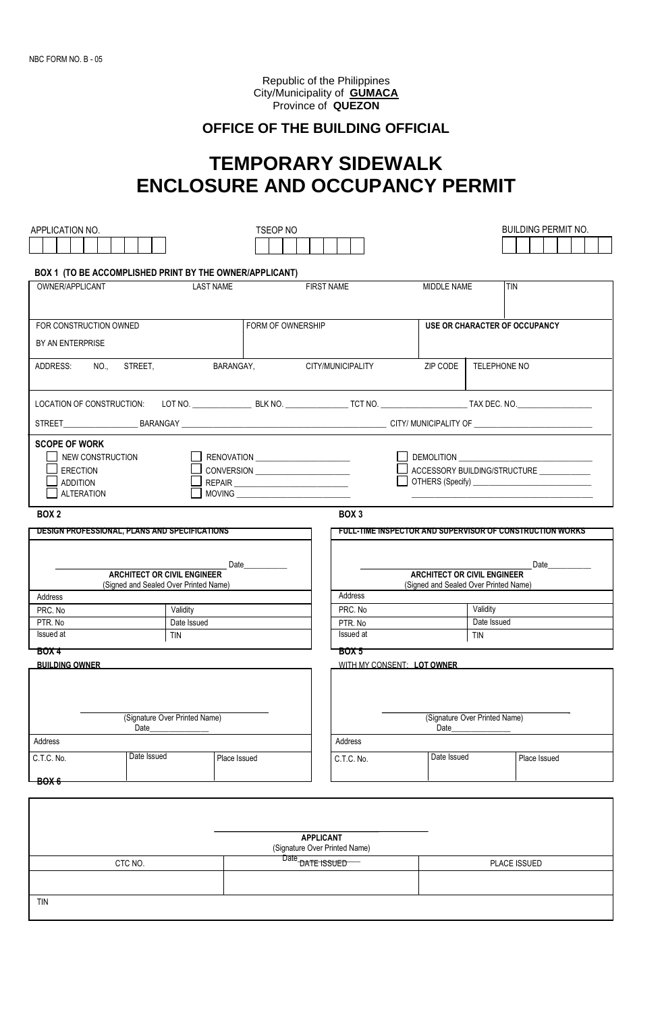Republic of the Philippines City/Municipality of **GUMACA** Province of **QUEZON**

## **OFFICE OF THE BUILDING OFFICIAL**

## **TEMPORARY SIDEWALK ENCLOSURE AND OCCUPANCY PERMIT**

| APPLICATION NO.                                         |                                                         | <b>TSEOP NO</b>                                                                                                                                                                                                               |                            |                                            |              | <b>BUILDING PERMIT NO.</b>                                       |  |  |
|---------------------------------------------------------|---------------------------------------------------------|-------------------------------------------------------------------------------------------------------------------------------------------------------------------------------------------------------------------------------|----------------------------|--------------------------------------------|--------------|------------------------------------------------------------------|--|--|
|                                                         |                                                         |                                                                                                                                                                                                                               |                            |                                            |              |                                                                  |  |  |
|                                                         |                                                         |                                                                                                                                                                                                                               |                            |                                            |              |                                                                  |  |  |
| BOX 1 (TO BE ACCOMPLISHED PRINT BY THE OWNER/APPLICANT) |                                                         |                                                                                                                                                                                                                               |                            |                                            |              |                                                                  |  |  |
| OWNER/APPLICANT                                         |                                                         | <b>LAST NAME</b>                                                                                                                                                                                                              | <b>FIRST NAME</b>          | MIDDLE NAME                                |              | <b>TIN</b>                                                       |  |  |
|                                                         |                                                         |                                                                                                                                                                                                                               |                            |                                            |              |                                                                  |  |  |
|                                                         |                                                         |                                                                                                                                                                                                                               |                            |                                            |              |                                                                  |  |  |
| FOR CONSTRUCTION OWNED                                  |                                                         | FORM OF OWNERSHIP                                                                                                                                                                                                             |                            |                                            |              |                                                                  |  |  |
|                                                         |                                                         |                                                                                                                                                                                                                               |                            | <b>USE OR CHARACTER OF OCCUPANCY</b>       |              |                                                                  |  |  |
| BY AN ENTERPRISE                                        |                                                         |                                                                                                                                                                                                                               |                            |                                            |              |                                                                  |  |  |
| ADDRESS:                                                | NO STREET.                                              | BARANGAY,                                                                                                                                                                                                                     | CITY/MUNICIPALITY          | ZIP CODE                                   | TELEPHONE NO |                                                                  |  |  |
|                                                         |                                                         |                                                                                                                                                                                                                               |                            |                                            |              |                                                                  |  |  |
|                                                         |                                                         |                                                                                                                                                                                                                               |                            |                                            |              |                                                                  |  |  |
|                                                         |                                                         |                                                                                                                                                                                                                               |                            |                                            |              |                                                                  |  |  |
|                                                         |                                                         |                                                                                                                                                                                                                               |                            |                                            |              |                                                                  |  |  |
|                                                         |                                                         |                                                                                                                                                                                                                               |                            |                                            |              |                                                                  |  |  |
| <b>SCOPE OF WORK</b>                                    |                                                         |                                                                                                                                                                                                                               |                            |                                            |              |                                                                  |  |  |
|                                                         |                                                         |                                                                                                                                                                                                                               |                            |                                            |              |                                                                  |  |  |
|                                                         | NEW CONSTRUCTION<br>RENOVATION ________________________ |                                                                                                                                                                                                                               |                            |                                            |              | ACCESSORY BUILDING/STRUCTURE                                     |  |  |
| <b>ADDITION</b>                                         | <b>ERECTION</b><br>CONVERSION ________________________  |                                                                                                                                                                                                                               |                            |                                            |              |                                                                  |  |  |
| <b>ALTERATION</b>                                       |                                                         |                                                                                                                                                                                                                               |                            |                                            |              |                                                                  |  |  |
|                                                         |                                                         |                                                                                                                                                                                                                               |                            |                                            |              |                                                                  |  |  |
| BOX <sub>2</sub>                                        |                                                         |                                                                                                                                                                                                                               | BOX <sub>3</sub>           |                                            |              |                                                                  |  |  |
| DESIGN PROFESSIONAL, PLANS AND SPECIFICATIONS           |                                                         |                                                                                                                                                                                                                               |                            |                                            |              | <u>FULL-TIME INSPECTOR AND SUPERVISOR OF CONSTRUCTION WORKS </u> |  |  |
|                                                         |                                                         |                                                                                                                                                                                                                               |                            |                                            |              |                                                                  |  |  |
|                                                         |                                                         |                                                                                                                                                                                                                               |                            |                                            |              |                                                                  |  |  |
|                                                         | <b>ARCHITECT OR CIVIL ENGINEER</b>                      | Date and the set of the set of the set of the set of the set of the set of the set of the set of the set of the set of the set of the set of the set of the set of the set of the set of the set of the set of the set of the |                            | Date<br><b>ARCHITECT OR CIVIL ENGINEER</b> |              |                                                                  |  |  |
| (Signed and Sealed Over Printed Name)                   |                                                         | (Signed and Sealed Over Printed Name)                                                                                                                                                                                         |                            |                                            |              |                                                                  |  |  |
| Address                                                 |                                                         |                                                                                                                                                                                                                               | Address                    |                                            |              |                                                                  |  |  |
| PRC. No                                                 | Validity                                                |                                                                                                                                                                                                                               | Validity<br>PRC. No        |                                            |              |                                                                  |  |  |
| PTR. No                                                 | Date Issued                                             |                                                                                                                                                                                                                               | PTR. No                    | Date Issued                                |              |                                                                  |  |  |
| Issued at                                               | TIN                                                     |                                                                                                                                                                                                                               | Issued at                  | TIN                                        |              |                                                                  |  |  |
| BOX 4<br>BOX 5                                          |                                                         |                                                                                                                                                                                                                               |                            |                                            |              |                                                                  |  |  |
| <b>BUILDING OWNER</b>                                   |                                                         |                                                                                                                                                                                                                               | WITH MY CONSENT: LOT OWNER |                                            |              |                                                                  |  |  |
|                                                         |                                                         |                                                                                                                                                                                                                               |                            |                                            |              |                                                                  |  |  |
|                                                         |                                                         |                                                                                                                                                                                                                               |                            |                                            |              |                                                                  |  |  |
|                                                         |                                                         |                                                                                                                                                                                                                               |                            |                                            |              |                                                                  |  |  |
| (Signature Over Printed Name)                           |                                                         |                                                                                                                                                                                                                               |                            | (Signature Over Printed Name)              |              |                                                                  |  |  |
| Date                                                    |                                                         |                                                                                                                                                                                                                               |                            | Date                                       |              |                                                                  |  |  |
| Address                                                 |                                                         |                                                                                                                                                                                                                               | <b>Address</b>             |                                            |              |                                                                  |  |  |
| C.T.C. No.                                              | Date Issued                                             | Place Issued                                                                                                                                                                                                                  | C.T.C. No.                 | Date Issued                                |              | Place Issued                                                     |  |  |
|                                                         |                                                         |                                                                                                                                                                                                                               |                            |                                            |              |                                                                  |  |  |
| <del>BOX 6</del>                                        |                                                         |                                                                                                                                                                                                                               |                            |                                            |              |                                                                  |  |  |
|                                                         |                                                         |                                                                                                                                                                                                                               |                            |                                            |              |                                                                  |  |  |
|                                                         |                                                         |                                                                                                                                                                                                                               |                            |                                            |              |                                                                  |  |  |
|                                                         |                                                         |                                                                                                                                                                                                                               |                            |                                            |              |                                                                  |  |  |
| <b>APPLICANT</b>                                        |                                                         |                                                                                                                                                                                                                               |                            |                                            |              |                                                                  |  |  |
| (Signature Over Printed Name)                           |                                                         |                                                                                                                                                                                                                               |                            |                                            |              |                                                                  |  |  |
| CTC NO.                                                 |                                                         | Date DATE ISSUED                                                                                                                                                                                                              | PLACE ISSUED               |                                            |              |                                                                  |  |  |
|                                                         |                                                         |                                                                                                                                                                                                                               |                            |                                            |              |                                                                  |  |  |
|                                                         |                                                         |                                                                                                                                                                                                                               |                            |                                            |              |                                                                  |  |  |
| TIN                                                     |                                                         |                                                                                                                                                                                                                               |                            |                                            |              |                                                                  |  |  |
|                                                         |                                                         |                                                                                                                                                                                                                               |                            |                                            |              |                                                                  |  |  |